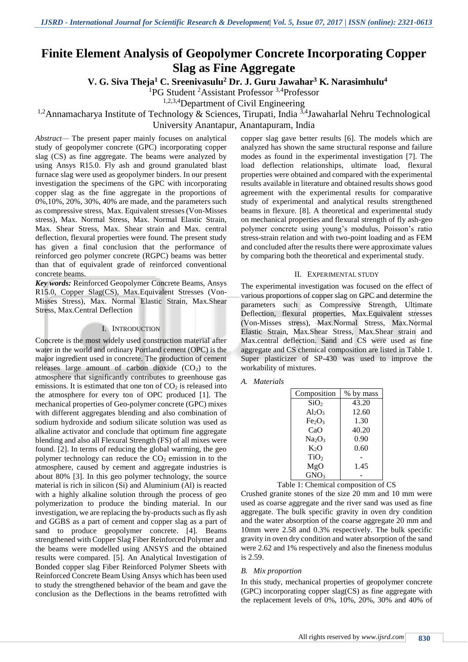# **Finite Element Analysis of Geopolymer Concrete Incorporating Copper Slag as Fine Aggregate**

**V. G. Siva Theja<sup>1</sup> C. Sreenivasulu<sup>2</sup> Dr. J. Guru Jawahar<sup>3</sup> K. Narasimhulu<sup>4</sup>**

<sup>1</sup>PG Student <sup>2</sup>Assistant Professor <sup>3,4</sup>Professor

1,2,3,4Department of Civil Engineering

<sup>1,2</sup>Annamacharya Institute of Technology & Sciences, Tirupati, India  $3.4$ Jawaharlal Nehru Technological University Anantapur, Anantapuram, India

*Abstract—* The present paper mainly focuses on analytical study of geopolymer concrete (GPC) incorporating copper slag (CS) as fine aggregate. The beams were analyzed by using Ansys R15.0. Fly ash and ground granulated blast furnace slag were used as geopolymer binders. In our present investigation the specimens of the GPC with incorporating copper slag as the fine aggregate in the proportions of 0%,10%, 20%, 30%, 40% are made, and the parameters such as compressive stress, Max. Equivalent stresses (Von-Misses stress), Max. Normal Stress, Max. Normal Elastic Strain, Max. Shear Stress, Max. Shear strain and Max. central deflection, flexural properties were found. The present study has given a final conclusion that the performance of reinforced geo polymer concrete (RGPC) beams was better than that of equivalent grade of reinforced conventional concrete beams.

*Key words:* Reinforced Geopolymer Concrete Beams, Ansys R15.0, Copper Slag(CS), Max.Equivalent Stresses (Von-Misses Stress), Max. Normal Elastic Strain, Max.Shear Stress, Max.Central Deflection

#### I. INTRODUCTION

Concrete is the most widely used construction material after water in the world and ordinary Portland cement (OPC) is the major ingredient used in concrete. The production of cement releases large amount of carbon dioxide  $(CO<sub>2</sub>)$  to the atmosphere that significantly contributes to greenhouse gas emissions. It is estimated that one ton of  $CO<sub>2</sub>$  is released into the atmosphere for every ton of OPC produced [1]. The mechanical properties of Geo-polymer concrete (GPC) mixes with different aggregates blending and also combination of sodium hydroxide and sodium silicate solution was used as alkaline activator and conclude that optimum fine aggregate blending and also all Flexural Strength (FS) of all mixes were found. [2]. In terms of reducing the global warming, the geo polymer technology can reduce the  $CO<sub>2</sub>$  emission in to the atmosphere, caused by cement and aggregate industries is about 80% [3]. In this geo polymer technology, the source material is rich in silicon (Si) and Aluminium (Al) is reacted with a highly alkaline solution through the process of geo polymerization to produce the binding material. In our investigation, we are replacing the by-products such as fly ash and GGBS as a part of cement and copper slag as a part of sand to produce geopolymer concrete. [4]. Beams strengthened with Copper Slag Fiber Reinforced Polymer and the beams were modelled using ANSYS and the obtained results were compared. [5]. An Analytical Investigation of Bonded copper slag Fiber Reinforced Polymer Sheets with Reinforced Concrete Beam Using Ansys which has been used to study the strengthened behavior of the beam and gave the conclusion as the Deflections in the beams retrofitted with copper slag gave better results [6]. The models which are analyzed has shown the same structural response and failure modes as found in the experimental investigation [7]. The load deflection relationships, ultimate load, flexural properties were obtained and compared with the experimental results available in literature and obtained results shows good agreement with the experimental results for comparative study of experimental and analytical results strengthened beams in flexure. [8]. A theoretical and experimental study on mechanical properties and flexural strength of fly ash-geo polymer concrete using young's modulus, Poisson's ratio stress-strain relation and with two-point loading and as FEM and concluded after the results there were approximate values by comparing both the theoretical and experimental study.

### II. EXPERIMENTAL STUDY

The experimental investigation was focused on the effect of various proportions of copper slag on GPC and determine the parameters such as Compressive Strength, Ultimate Deflection, flexural properties, Max.Equivalent stresses (Von-Misses stress), Max.Normal Stress, Max.Normal Elastic Strain, Max.Shear Stress, Max.Shear strain and Max.central deflection. Sand and CS were used as fine aggregate and CS chemical composition are listed in Table 1. Super plasticizer of SP-430 was used to improve the workability of mixtures.

# *A. Materials*

| Composition                    | % by mass |
|--------------------------------|-----------|
| SiO <sub>2</sub>               | 43.20     |
| $Al_2O_3$                      | 12.60     |
| Fe <sub>2</sub> O <sub>3</sub> | 1.30      |
| CaO                            | 40.20     |
| Na <sub>2</sub> O <sub>3</sub> | 0.90      |
| $K_2O$                         | 0.60      |
| TiO <sub>2</sub>               |           |
| MgO                            | 1.45      |
| GNO <sub>3</sub>               |           |

Table 1: Chemical composition of CS

Crushed granite stones of the size 20 mm and 10 mm were used as coarse aggregate and the river sand was used as fine aggregate. The bulk specific gravity in oven dry condition and the water absorption of the coarse aggregate 20 mm and 10mm were 2.58 and 0.3% respectively. The bulk specific gravity in oven dry condition and water absorption of the sand were 2.62 and 1% respectively and also the fineness modulus is 2.59.

#### *B. Mix proportion*

In this study, mechanical properties of geopolymer concrete (GPC) incorporating copper slag(CS) as fine aggregate with the replacement levels of 0%, 10%, 20%, 30% and 40% of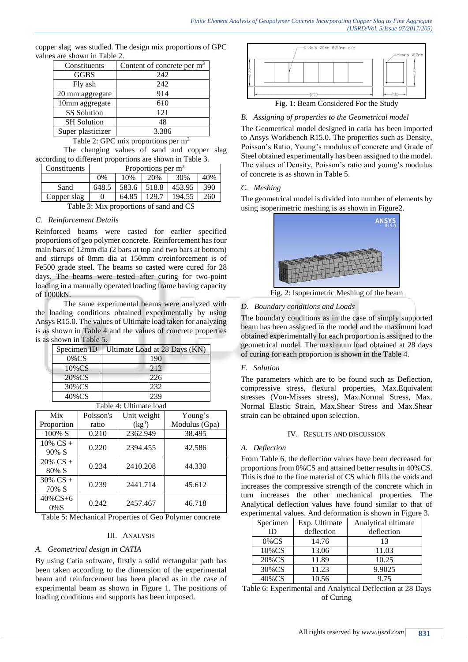copper slag was studied. The design mix proportions of GPC values are shown in Table 2.

| Constituents         | Content of concrete per $m3$ |
|----------------------|------------------------------|
| <b>GGBS</b>          | 242                          |
| Fly ash              | 242                          |
| 20 mm aggregate      | 914                          |
| 10mm aggregate       | 610                          |
| <b>SS</b> Solution   | 121                          |
| <b>SH</b> Solution   | 48                           |
| Super plasticizer    | 3.386                        |
| $\sim$ $\sim$ $\sim$ |                              |

Table 2: GPC mix proportions per  $m<sup>3</sup>$ 

The changing values of sand and copper slag according to different proportions are shown in Table 3.

| Constituents | Proportions per $m3$ |       |        |        |     |
|--------------|----------------------|-------|--------|--------|-----|
|              | 0%                   | 10%   | 20%    | 30%    | 40% |
| Sand         | 648.5                | 583.6 | 518.8  | 453.95 | 390 |
| Copper slag  |                      | 64.85 | 129.7  | 194.55 | 260 |
|              |                      |       | $\sim$ | $-$    |     |

Table 3: Mix proportions of sand and CS

### *C. Reinforcement Details*

Reinforced beams were casted for earlier specified proportions of geo polymer concrete. Reinforcement has four main bars of 12mm dia (2 bars at top and two bars at bottom) and stirrups of 8mm dia at 150mm c/reinforcement is of Fe500 grade steel. The beams so casted were cured for 28 days. The beams were tested after curing for two-point loading in a manually operated loading frame having capacity of 1000kN.

The same experimental beams were analyzed with the loading conditions obtained experimentally by using Ansys R15.0. The values of Ultimate load taken for analyzing is as shown in Table 4 and the values of concrete properties is as shown in Table 5.

| Specimen ID            | Ultimate Load at 28 Days (KN) |  |  |  |  |
|------------------------|-------------------------------|--|--|--|--|
| $0\%$ CS               | 190                           |  |  |  |  |
| 212<br>$10\%$ CS       |                               |  |  |  |  |
| 20%CS                  | 226                           |  |  |  |  |
| 232<br>30%CS           |                               |  |  |  |  |
| 40%CS                  | 239                           |  |  |  |  |
| Toble 4. Ultimate load |                               |  |  |  |  |

| Tavit +. Ontinate ivau |           |             |               |  |  |
|------------------------|-----------|-------------|---------------|--|--|
| Mix                    | Poisson's | Unit weight | Young's       |  |  |
| Proportion             | ratio     | $(kg^3)$    | Modulus (Gpa) |  |  |
| 100% S                 | 0.210     | 2362.949    | 38.495        |  |  |
| $10\%$ CS +<br>90% S   | 0.220     | 2394.455    | 42.586        |  |  |
| $20\%$ CS +            |           |             |               |  |  |
| 80% S                  | 0.234     | 2410.208    | 44.330        |  |  |
| $30\%$ CS +<br>70% S   | 0.239     | 2441.714    | 45.612        |  |  |
|                        |           |             |               |  |  |
| $40\%$ CS+6<br>$0\%S$  | 0.242     | 2457.467    | 46.718        |  |  |

Table 5: Mechanical Properties of Geo Polymer concrete

#### III. ANALYSIS

### *A. Geometrical design in CATIA*

By using Catia software, firstly a solid rectangular path has been taken according to the dimension of the experimental beam and reinforcement has been placed as in the case of experimental beam as shown in Figure 1. The positions of loading conditions and supports has been imposed.



# *B. Assigning of properties to the Geometrical model*

The Geometrical model designed in catia has been imported to Ansys Workbench R15.0. The properties such as Density, Poisson's Ratio, Young's modulus of concrete and Grade of Steel obtained experimentally has been assigned to the model. The values of Density, Poisson's ratio and young's modulus of concrete is as shown in Table 5.

### *C. Meshing*

The geometrical model is divided into number of elements by using isoperimetric meshing is as shown in Figure2.



Fig. 2: Isoperimetric Meshing of the beam

# *D. Boundary conditions and Loads*

The boundary conditions as in the case of simply supported beam has been assigned to the model and the maximum load obtained experimentally for each proportion is assigned to the geometrical model. The maximum load obtained at 28 days of curing for each proportion is shown in the Table 4.

#### *E. Solution*

The parameters which are to be found such as Deflection, compressive stress, flexural properties, Max.Equivalent stresses (Von-Misses stress), Max.Normal Stress, Max. Normal Elastic Strain, Max.Shear Stress and Max.Shear strain can be obtained upon selection.

#### IV. RESULTS AND DISCUSSION

#### *A. Deflection*

From Table 6, the deflection values have been decreased for proportions from 0%CS and attained better results in 40%CS. This is due to the fine material of CS which fills the voids and increases the compressive strength of the concrete which in turn increases the other mechanical properties. The Analytical deflection values have found similar to that of experimental values. And deformation is shown in Figure 3.

| Specimen | Exp. Ultimate | Analytical ultimate |
|----------|---------------|---------------------|
| ID       | deflection    | deflection          |
| $0\%$ CS | 14.76         | 13                  |
| 10%CS    | 13.06         | 11.03               |
| 20%CS    | 11.89         | 10.25               |
| 30%CS    | 11.23         | 9.9025              |
| 40%CS    | 10.56         | 9.75                |

Table 6: Experimental and Analytical Deflection at 28 Days of Curing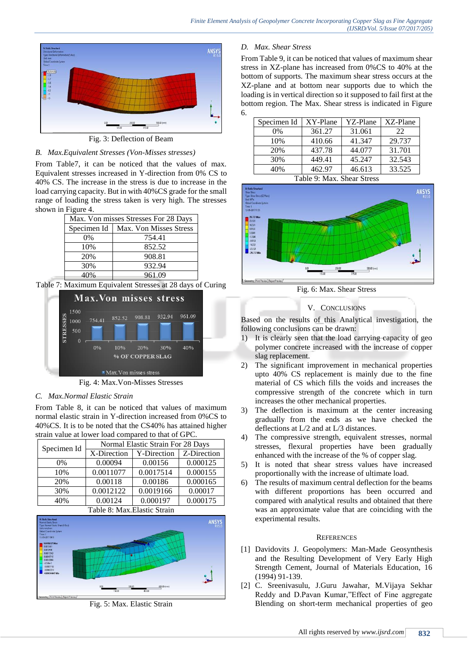

Fig. 3: Deflection of Beam



From Table7, it can be noticed that the values of max. Equivalent stresses increased in Y-direction from 0% CS to 40% CS. The increase in the stress is due to increase in the load carrying capacity. But in with 40%CS grade for the small range of loading the stress taken is very high. The stresses shown in Figure 4.

| Max. Von misses Stresses For 28 Days  |        |  |  |
|---------------------------------------|--------|--|--|
| Specimen Id<br>Max. Von Misses Stress |        |  |  |
| $0\%$                                 | 754.41 |  |  |
| 10%                                   | 852.52 |  |  |
| 20%                                   | 908.81 |  |  |
| 30%                                   | 932.94 |  |  |
| 40%                                   | 961.09 |  |  |

Table 7: Maximum Equivalent Stresses at 28 days of Curing



Fig. 4: Max.Von-Misses Stresses

# *C. Max.Normal Elastic Strain*

From Table 8, it can be noticed that values of maximum normal elastic strain in Y-direction increased from 0%CS to 40%CS. It is to be noted that the CS40% has attained higher strain value at lower load compared to that of GPC.

| Specimen Id | Normal Elastic Strain For 28 Days |             |             |  |
|-------------|-----------------------------------|-------------|-------------|--|
|             | X-Direction                       | Y-Direction | Z-Direction |  |
| $0\%$       | 0.00094                           | 0.00156     | 0.000125    |  |
| 10%         | 0.0011077                         | 0.0017514   | 0.000155    |  |
| 20%         | 0.00118                           | 0.00186     | 0.000165    |  |
| 30%         | 0.0012122                         | 0.0019166   | 0.00017     |  |
| 40%         | 0.00124                           | 0.000197    | 0.000175    |  |



Fig. 5: Max. Elastic Strain

# *D. Max. Shear Stress*

From Table 9, it can be noticed that values of maximum shear stress in XZ-plane has increased from 0%CS to 40% at the bottom of supports. The maximum shear stress occurs at the XZ-plane and at bottom near supports due to which the loading is in vertical direction so it supposed to fail first at the bottom region. The Max. Shear stress is indicated in Figure 6.

| Specimen Id | XY-Plane | YZ-Plane | XZ-Plane |
|-------------|----------|----------|----------|
| $0\%$       | 361.27   | 31.061   | 22       |
| 10%         | 410.66   | 41.347   | 29.737   |
| 20%         | 437.78   | 44.077   | 31.701   |
| 30%         | 449.41   | 45.247   | 32.543   |
| 40%         | 462.97   | 46.613   | 33.525   |

Table 9: Max. Shear Stress



Fig. 6: Max. Shear Stress

# V. CONCLUSIONS

Based on the results of this Analytical investigation, the following conclusions can be drawn:

- 1) It is clearly seen that the load carrying capacity of geo polymer concrete increased with the increase of copper slag replacement.
- 2) The significant improvement in mechanical properties upto 40% CS replacement is mainly due to the fine material of CS which fills the voids and increases the compressive strength of the concrete which in turn increases the other mechanical properties.
- 3) The deflection is maximum at the center increasing gradually from the ends as we have checked the deflections at L/2 and at L/3 distances.
- 4) The compressive strength, equivalent stresses, normal stresses, flexural properties have been gradually enhanced with the increase of the % of copper slag.
- 5) It is noted that shear stress values have increased proportionally with the increase of ultimate load.
- 6) The results of maximum central deflection for the beams with different proportions has been occurred and compared with analytical results and obtained that there was an approximate value that are coinciding with the experimental results.

# **REFERENCES**

- [1] Davidovits J. Geopolymers: Man-Made Geosynthesis and the Resulting Development of Very Early High Strength Cement, Journal of Materials Education, 16 (1994) 91-139.
- [2] C. Sreenivasulu, J.Guru Jawahar, M.Vijaya Sekhar Reddy and D.Pavan Kumar,"Effect of Fine aggregate Blending on short-term mechanical properties of geo